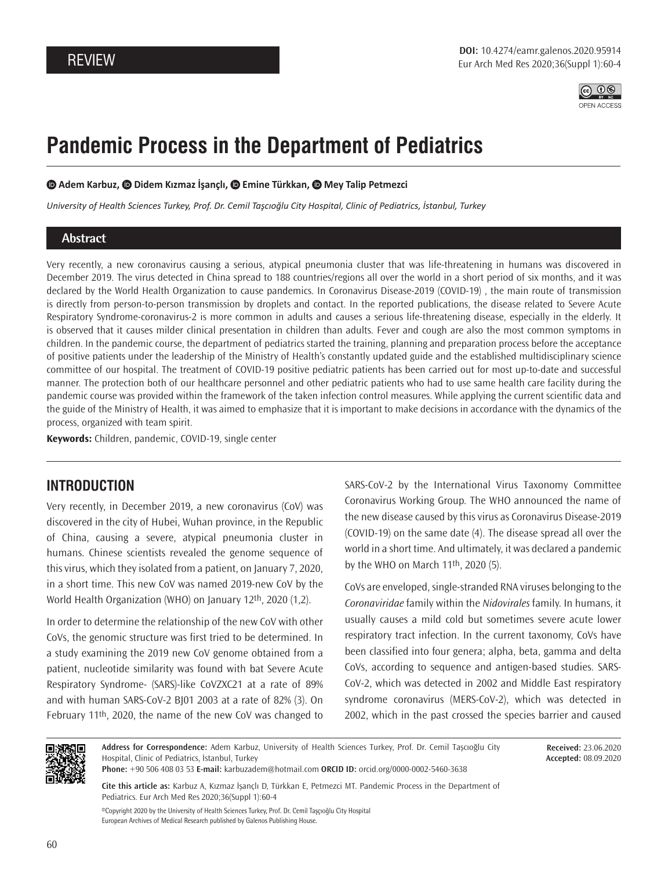

# **Pandemic Process in the Department of Pediatrics**

 $\bullet$  **Adem Karbuz,**  $\bullet$  **Didem Kızmaz İşançlı,**  $\bullet$  **Emine Türkkan,**  $\bullet$  **Mey Talip Petmezci** 

*University of Health Sciences Turkey, Prof. Dr. Cemil Taşcıoğlu City Hospital, Clinic of Pediatrics, İstanbul, Turkey*

#### **Abstract**

Very recently, a new coronavirus causing a serious, atypical pneumonia cluster that was life-threatening in humans was discovered in December 2019. The virus detected in China spread to 188 countries/regions all over the world in a short period of six months, and it was declared by the World Health Organization to cause pandemics. In Coronavirus Disease-2019 (COVID-19) , the main route of transmission is directly from person-to-person transmission by droplets and contact. In the reported publications, the disease related to Severe Acute Respiratory Syndrome-coronavirus-2 is more common in adults and causes a serious life-threatening disease, especially in the elderly. It is observed that it causes milder clinical presentation in children than adults. Fever and cough are also the most common symptoms in children. In the pandemic course, the department of pediatrics started the training, planning and preparation process before the acceptance of positive patients under the leadership of the Ministry of Health's constantly updated guide and the established multidisciplinary science committee of our hospital. The treatment of COVID-19 positive pediatric patients has been carried out for most up-to-date and successful manner. The protection both of our healthcare personnel and other pediatric patients who had to use same health care facility during the pandemic course was provided within the framework of the taken infection control measures. While applying the current scientific data and the guide of the Ministry of Health, it was aimed to emphasize that it is important to make decisions in accordance with the dynamics of the process, organized with team spirit.

**Keywords:** Children, pandemic, COVID-19, single center

## **INTRODUCTION**

Very recently, in December 2019, a new coronavirus (CoV) was discovered in the city of Hubei, Wuhan province, in the Republic of China, causing a severe, atypical pneumonia cluster in humans. Chinese scientists revealed the genome sequence of this virus, which they isolated from a patient, on January 7, 2020, in a short time. This new CoV was named 2019-new CoV by the World Health Organization (WHO) on January 12th, 2020 (1,2).

In order to determine the relationship of the new CoV with other CoVs, the genomic structure was first tried to be determined. In a study examining the 2019 new CoV genome obtained from a patient, nucleotide similarity was found with bat Severe Acute Respiratory Syndrome- (SARS)-like CoVZXC21 at a rate of 89% and with human SARS-CoV-2 BJ01 2003 at a rate of 82% (3). On February 11th, 2020, the name of the new CoV was changed to

SARS-CoV-2 by the International Virus Taxonomy Committee Coronavirus Working Group. The WHO announced the name of the new disease caused by this virus as Coronavirus Disease-2019 (COVID-19) on the same date (4). The disease spread all over the world in a short time. And ultimately, it was declared a pandemic by the WHO on March 11th, 2020 (5).

CoVs are enveloped, single-stranded RNA viruses belonging to the *Coronaviridae* family within the *Nidovirales* family. In humans, it usually causes a mild cold but sometimes severe acute lower respiratory tract infection. In the current taxonomy, CoVs have been classified into four genera; alpha, beta, gamma and delta CoVs, according to sequence and antigen-based studies. SARS-CoV-2, which was detected in 2002 and Middle East respiratory syndrome coronavirus (MERS-CoV-2), which was detected in 2002, which in the past crossed the species barrier and caused



**Address for Correspondence:** Adem Karbuz, University of Health Sciences Turkey, Prof. Dr. Cemil Taşcıoğlu City Hospital, Clinic of Pediatrics, İstanbul, Turkey

**Received:** 23.06.2020 **Accepted:** 08.09.2020

**Phone:** +90 506 408 03 53 **E-mail:** karbuzadem@hotmail.com **ORCID ID:** orcid.org/0000-0002-5460-3638

**Cite this article as:** Karbuz A, Kızmaz İşançlı D, Türkkan E, Petmezci MT. Pandemic Process in the Department of Pediatrics. Eur Arch Med Res 2020;36(Suppl 1):60-4

©Copyright 2020 by the University of Health Sciences Turkey, Prof. Dr. Cemil Taşçıoğlu City Hospital European Archives of Medical Research published by Galenos Publishing House.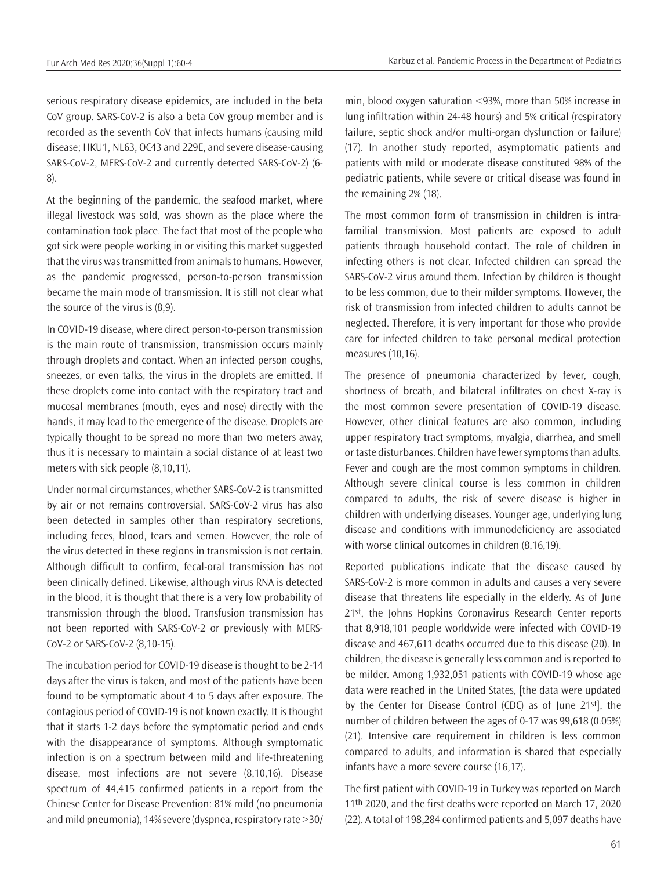serious respiratory disease epidemics, are included in the beta CoV group. SARS-CoV-2 is also a beta CoV group member and is recorded as the seventh CoV that infects humans (causing mild disease; HKU1, NL63, OC43 and 229E, and severe disease-causing SARS-CoV-2, MERS-CoV-2 and currently detected SARS-CoV-2) (6- 8).

At the beginning of the pandemic, the seafood market, where illegal livestock was sold, was shown as the place where the contamination took place. The fact that most of the people who got sick were people working in or visiting this market suggested that the virus was transmitted from animals to humans. However, as the pandemic progressed, person-to-person transmission became the main mode of transmission. It is still not clear what the source of the virus is (8,9).

In COVID-19 disease, where direct person-to-person transmission is the main route of transmission, transmission occurs mainly through droplets and contact. When an infected person coughs, sneezes, or even talks, the virus in the droplets are emitted. If these droplets come into contact with the respiratory tract and mucosal membranes (mouth, eyes and nose) directly with the hands, it may lead to the emergence of the disease. Droplets are typically thought to be spread no more than two meters away, thus it is necessary to maintain a social distance of at least two meters with sick people (8,10,11).

Under normal circumstances, whether SARS-CoV-2 is transmitted by air or not remains controversial. SARS-CoV-2 virus has also been detected in samples other than respiratory secretions, including feces, blood, tears and semen. However, the role of the virus detected in these regions in transmission is not certain. Although difficult to confirm, fecal-oral transmission has not been clinically defined. Likewise, although virus RNA is detected in the blood, it is thought that there is a very low probability of transmission through the blood. Transfusion transmission has not been reported with SARS-CoV-2 or previously with MERS-CoV-2 or SARS-CoV-2 (8,10-15).

The incubation period for COVID-19 disease is thought to be 2-14 days after the virus is taken, and most of the patients have been found to be symptomatic about 4 to 5 days after exposure. The contagious period of COVID-19 is not known exactly. It is thought that it starts 1-2 days before the symptomatic period and ends with the disappearance of symptoms. Although symptomatic infection is on a spectrum between mild and life-threatening disease, most infections are not severe (8,10,16). Disease spectrum of 44,415 confirmed patients in a report from the Chinese Center for Disease Prevention: 81% mild (no pneumonia and mild pneumonia), 14% severe (dyspnea, respiratory rate >30/ min, blood oxygen saturation <93%, more than 50% increase in lung infiltration within 24-48 hours) and 5% critical (respiratory failure, septic shock and/or multi-organ dysfunction or failure) (17). In another study reported, asymptomatic patients and patients with mild or moderate disease constituted 98% of the pediatric patients, while severe or critical disease was found in the remaining 2% (18).

The most common form of transmission in children is intrafamilial transmission. Most patients are exposed to adult patients through household contact. The role of children in infecting others is not clear. Infected children can spread the SARS-CoV-2 virus around them. Infection by children is thought to be less common, due to their milder symptoms. However, the risk of transmission from infected children to adults cannot be neglected. Therefore, it is very important for those who provide care for infected children to take personal medical protection measures (10,16).

The presence of pneumonia characterized by fever, cough, shortness of breath, and bilateral infiltrates on chest X-ray is the most common severe presentation of COVID-19 disease. However, other clinical features are also common, including upper respiratory tract symptoms, myalgia, diarrhea, and smell or taste disturbances. Children have fewer symptoms than adults. Fever and cough are the most common symptoms in children. Although severe clinical course is less common in children compared to adults, the risk of severe disease is higher in children with underlying diseases. Younger age, underlying lung disease and conditions with immunodeficiency are associated with worse clinical outcomes in children (8,16,19).

Reported publications indicate that the disease caused by SARS-CoV-2 is more common in adults and causes a very severe disease that threatens life especially in the elderly. As of June 21st, the Johns Hopkins Coronavirus Research Center reports that 8,918,101 people worldwide were infected with COVID-19 disease and 467,611 deaths occurred due to this disease (20). In children, the disease is generally less common and is reported to be milder. Among 1,932,051 patients with COVID-19 whose age data were reached in the United States, [the data were updated by the Center for Disease Control (CDC) as of June 21st], the number of children between the ages of 0-17 was 99,618 (0.05%) (21). Intensive care requirement in children is less common compared to adults, and information is shared that especially infants have a more severe course (16,17).

The first patient with COVID-19 in Turkey was reported on March 11th 2020, and the first deaths were reported on March 17, 2020 (22). A total of 198,284 confirmed patients and 5,097 deaths have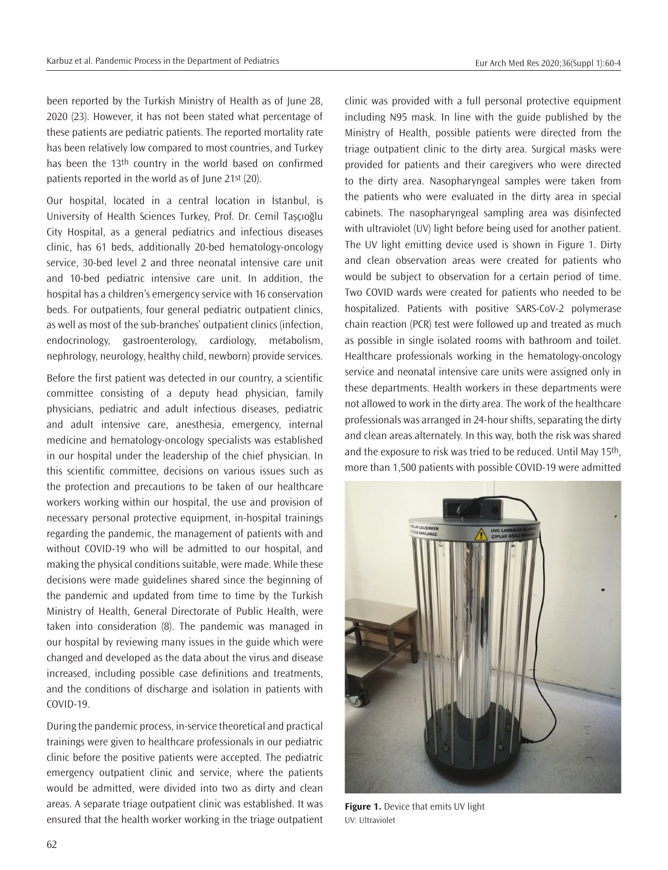been reported by the Turkish Ministry of Health as of June 28, 2020 (23). However, it has not been stated what percentage of these patients are pediatric patients. The reported mortality rate has been relatively low compared to most countries, and Turkey has been the 13<sup>th</sup> country in the world based on confirmed patients reported in the world as of June 21st (20).

Our hospital, located in a central location in İstanbul, is University of Health Sciences Turkey, Prof. Dr. Cemil Taşçıoğlu City Hospital, as a general pediatrics and infectious diseases clinic, has 61 beds, additionally 20-bed hematology-oncology service, 30-bed level 2 and three neonatal intensive care unit and 10-bed pediatric intensive care unit. In addition, the hospital has a children's emergency service with 16 conservation beds. For outpatients, four general pediatric outpatient clinics, as well as most of the sub-branches' outpatient clinics (infection, endocrinology, gastroenterology, cardiology, metabolism, nephrology, neurology, healthy child, newborn) provide services.

Before the first patient was detected in our country, a scientific committee consisting of a deputy head physician, family physicians, pediatric and adult infectious diseases, pediatric and adult intensive care, anesthesia, emergency, internal medicine and hematology-oncology specialists was established in our hospital under the leadership of the chief physician. In this scientific committee, decisions on various issues such as the protection and precautions to be taken of our healthcare workers working within our hospital, the use and provision of necessary personal protective equipment, in-hospital trainings regarding the pandemic, the management of patients with and without COVID-19 who will be admitted to our hospital, and making the physical conditions suitable, were made. While these decisions were made guidelines shared since the beginning of the pandemic and updated from time to time by the Turkish Ministry of Health, General Directorate of Public Health, were taken into consideration (8). The pandemic was managed in our hospital by reviewing many issues in the guide which were changed and developed as the data about the virus and disease increased, including possible case definitions and treatments, and the conditions of discharge and isolation in patients with COVID-19.

During the pandemic process, in-service theoretical and practical trainings were given to healthcare professionals in our pediatric clinic before the positive patients were accepted. The pediatric emergency outpatient clinic and service, where the patients would be admitted, were divided into two as dirty and clean areas. A separate triage outpatient clinic was established. It was ensured that the health worker working in the triage outpatient

clinic was provided with a full personal protective equipment including N95 mask. In line with the guide published by the Ministry of Health, possible patients were directed from the triage outpatient clinic to the dirty area. Surgical masks were provided for patients and their caregivers who were directed to the dirty area. Nasopharyngeal samples were taken from the patients who were evaluated in the dirty area in special cabinets. The nasopharyngeal sampling area was disinfected with ultraviolet (UV) light before being used for another patient. The UV light emitting device used is shown in Figure 1. Dirty and clean observation areas were created for patients who would be subject to observation for a certain period of time. Two COVID wards were created for patients who needed to be hospitalized. Patients with positive SARS-CoV-2 polymerase chain reaction (PCR) test were followed up and treated as much as possible in single isolated rooms with bathroom and toilet. Healthcare professionals working in the hematology-oncology service and neonatal intensive care units were assigned only in these departments. Health workers in these departments were not allowed to work in the dirty area. The work of the healthcare professionals was arranged in 24-hour shifts, separating the dirty and clean areas alternately. In this way, both the risk was shared and the exposure to risk was tried to be reduced. Until May 15th, more than 1,500 patients with possible COVID-19 were admitted



**Figure 1.** Device that emits UV light UV: Ultraviolet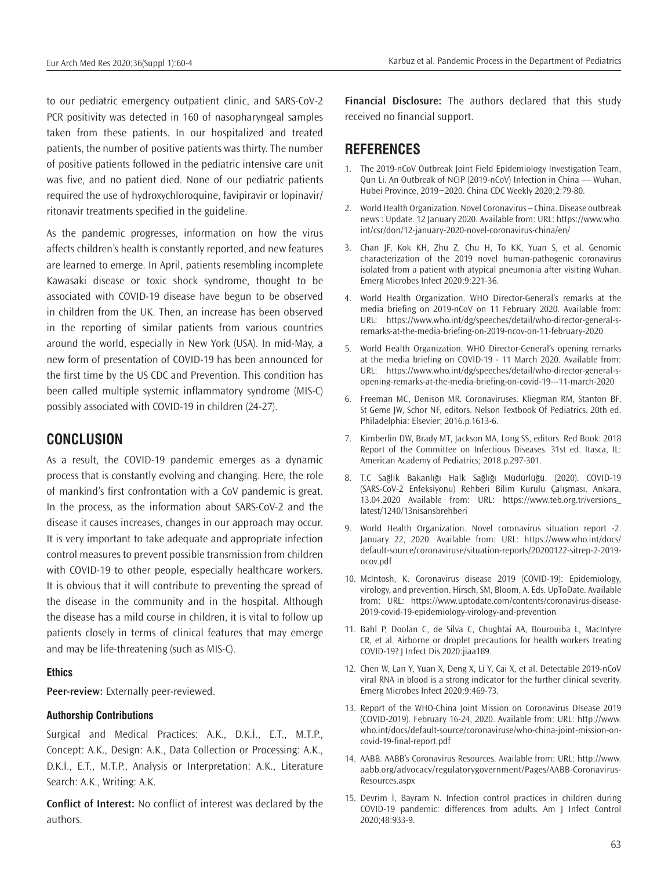to our pediatric emergency outpatient clinic, and SARS-CoV-2 PCR positivity was detected in 160 of nasopharyngeal samples taken from these patients. In our hospitalized and treated patients, the number of positive patients was thirty. The number of positive patients followed in the pediatric intensive care unit was five, and no patient died. None of our pediatric patients required the use of hydroxychloroquine, favipiravir or lopinavir/ ritonavir treatments specified in the guideline.

As the pandemic progresses, information on how the virus affects children's health is constantly reported, and new features are learned to emerge. In April, patients resembling incomplete Kawasaki disease or toxic shock syndrome, thought to be associated with COVID-19 disease have begun to be observed in children from the UK. Then, an increase has been observed in the reporting of similar patients from various countries around the world, especially in New York (USA). In mid-May, a new form of presentation of COVID-19 has been announced for the first time by the US CDC and Prevention. This condition has been called multiple systemic inflammatory syndrome (MIS-C) possibly associated with COVID-19 in children (24-27).

### **CONCLUSION**

As a result, the COVID-19 pandemic emerges as a dynamic process that is constantly evolving and changing. Here, the role of mankind's first confrontation with a CoV pandemic is great. In the process, as the information about SARS-CoV-2 and the disease it causes increases, changes in our approach may occur. It is very important to take adequate and appropriate infection control measures to prevent possible transmission from children with COVID-19 to other people, especially healthcare workers. It is obvious that it will contribute to preventing the spread of the disease in the community and in the hospital. Although the disease has a mild course in children, it is vital to follow up patients closely in terms of clinical features that may emerge and may be life-threatening (such as MIS-C).

#### **Ethics**

**Peer-review:** Externally peer-reviewed.

#### **Authorship Contributions**

Surgical and Medical Practices: A.K., D.K.İ., E.T., M.T.P., Concept: A.K., Design: A.K., Data Collection or Processing: A.K., D.K.İ., E.T., M.T.P., Analysis or Interpretation: A.K., Literature Search: A.K., Writing: A.K.

**Conflict of Interest:** No conflict of interest was declared by the authors.

**Financial Disclosure:** The authors declared that this study received no financial support.

## **REFERENCES**

- 1. The 2019-nCoV Outbreak Joint Field Epidemiology Investigation Team, Qun Li. An Outbreak of NCIP (2019-nCoV) Infection in China — Wuhan, Hubei Province, 2019−2020. China CDC Weekly 2020;2:79-80.
- 2. World Health Organization. Novel Coronavirus China. Disease outbreak news : Update. 12 January 2020. Available from: URL: https://www.who. int/csr/don/12-january-2020-novel-coronavirus-china/en/
- 3. Chan JF, Kok KH, Zhu Z, Chu H, To KK, Yuan S, et al. Genomic characterization of the 2019 novel human-pathogenic coronavirus isolated from a patient with atypical pneumonia after visiting Wuhan. Emerg Microbes Infect 2020;9:221-36.
- 4. World Health Organization. WHO Director-General's remarks at the media briefing on 2019-nCoV on 11 February 2020. Available from: URL: https://www.who.int/dg/speeches/detail/who-director-general-sremarks-at-the-media-briefing-on-2019-ncov-on-11-february-2020
- 5. World Health Organization. WHO Director-General's opening remarks at the media briefing on COVID-19 - 11 March 2020. Available from: URL: https://www.who.int/dg/speeches/detail/who-director-general-sopening-remarks-at-the-media-briefing-on-covid-19---11-march-2020
- 6. Freeman MC, Denison MR. Coronaviruses. Kliegman RM, Stanton BF, St Geme JW, Schor NF, editors. Nelson Textbook Of Pediatrics. 20th ed. Philadelphia: Elsevier; 2016.p.1613-6.
- 7. Kimberlin DW, Brady MT, Jackson MA, Long SS, editors. Red Book: 2018 Report of the Committee on Infectious Diseases. 31st ed. Itasca, IL: American Academy of Pediatrics; 2018.p.297-301.
- 8. T.C Sağlık Bakanlığı Halk Sağlığı Müdürlüğü. (2020). COVID-19 (SARS-CoV-2 Enfeksiyonu) Rehberi Bilim Kurulu Çalışması. Ankara, 13.04.2020 Available from: URL: https://www.teb.org.tr/versions\_ latest/1240/13nisansbrehberi
- 9. World Health Organization. Novel coronavirus situation report -2. January 22, 2020. Available from: URL: https://www.who.int/docs/ default-source/coronaviruse/situation-reports/20200122-sitrep-2-2019 ncov.pdf
- 10. McIntosh, K. Coronavirus disease 2019 (COVID-19): Epidemiology, virology, and prevention. Hirsch, SM, Bloom, A. Eds. UpToDate. Available from: URL: https://www.uptodate.com/contents/coronavirus-disease-2019-covid-19-epidemiology-virology-and-prevention
- 11. Bahl P, Doolan C, de Silva C, Chughtai AA, Bourouiba L, MacIntyre CR, et al. Airborne or droplet precautions for health workers treating COVID-19? J Infect Dis 2020:jiaa189.
- 12. Chen W, Lan Y, Yuan X, Deng X, Li Y, Cai X, et al. Detectable 2019-nCoV viral RNA in blood is a strong indicator for the further clinical severity. Emerg Microbes Infect 2020;9:469-73.
- 13. Report of the WHO-China Joint Mission on Coronavirus DIsease 2019 (COVID-2019). February 16-24, 2020. Available from: URL: http://www. who.int/docs/default-source/coronaviruse/who-china-joint-mission-oncovid-19-final-report.pdf
- 14. AABB. AABB's Coronavirus Resources. Available from: URL: http://www. aabb.org/advocacy/regulatorygovernment/Pages/AABB-Coronavirus-Resources.aspx
- 15. Devrim İ, Bayram N. Infection control practices in children during COVID-19 pandemic: differences from adults. Am J Infect Control 2020;48:933-9.